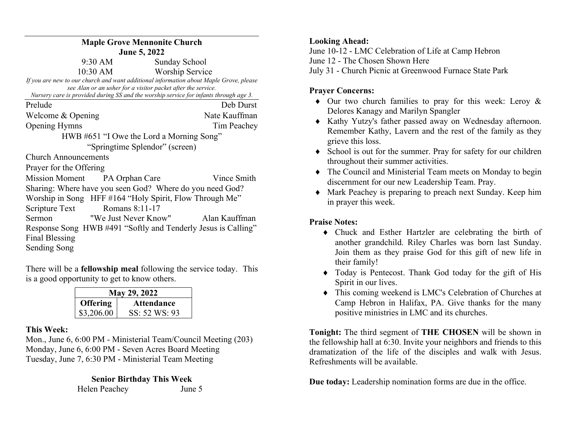| <b>Maple Grove Mennonite Church</b>                                                                                                                   |                      |               |               |  |
|-------------------------------------------------------------------------------------------------------------------------------------------------------|----------------------|---------------|---------------|--|
| <b>June 5, 2022</b>                                                                                                                                   |                      |               |               |  |
| 9:30 AM                                                                                                                                               |                      | Sunday School |               |  |
| $10:30 \text{ AM}$<br><b>Worship Service</b>                                                                                                          |                      |               |               |  |
| If you are new to our church and want additional information about Maple Grove, please                                                                |                      |               |               |  |
| see Alan or an usher for a visitor packet after the service.<br>Nursery care is provided during SS and the worship service for infants through age 3. |                      |               |               |  |
|                                                                                                                                                       |                      |               |               |  |
| Prelude                                                                                                                                               |                      |               | Deb Durst     |  |
| Welcome & Opening                                                                                                                                     |                      |               | Nate Kauffman |  |
| <b>Opening Hymns</b>                                                                                                                                  |                      |               | Tim Peachey   |  |
| HWB #651 "I Owe the Lord a Morning Song"                                                                                                              |                      |               |               |  |
| "Springtime Splendor" (screen)                                                                                                                        |                      |               |               |  |
| <b>Church Announcements</b>                                                                                                                           |                      |               |               |  |
| Prayer for the Offering                                                                                                                               |                      |               |               |  |
| Mission Moment PA Orphan Care                                                                                                                         |                      |               | Vince Smith   |  |
| Sharing: Where have you seen God? Where do you need God?                                                                                              |                      |               |               |  |
| Worship in Song HFF #164 "Holy Spirit, Flow Through Me"                                                                                               |                      |               |               |  |
| Scripture Text                                                                                                                                        | Romans 8:11-17       |               |               |  |
| Sermon                                                                                                                                                | "We Just Never Know" |               | Alan Kauffman |  |
| Response Song HWB #491 "Softly and Tenderly Jesus is Calling"                                                                                         |                      |               |               |  |
| <b>Final Blessing</b>                                                                                                                                 |                      |               |               |  |
|                                                                                                                                                       |                      |               |               |  |
| Sending Song                                                                                                                                          |                      |               |               |  |

There will be a fellowship meal following the service today. This is a good opportunity to get to know others.

| May 29, 2022    |                   |  |  |
|-----------------|-------------------|--|--|
| <b>Offering</b> | <b>Attendance</b> |  |  |
| \$3,206.00      | SS: 52 WS: 93     |  |  |

## This Week:

Mon., June 6, 6:00 PM - Ministerial Team/Council Meeting (203) Monday, June 6, 6:00 PM - Seven Acres Board Meeting Tuesday, June 7, 6:30 PM - Ministerial Team Meeting

> Senior Birthday This Week Helen Peachey June 5

## Looking Ahead:

June 10-12 - LMC Celebration of Life at Camp Hebron June 12 - The Chosen Shown Here July 31 - Church Picnic at Greenwood Furnace State Park

## Prayer Concerns:

- $\bullet$  Our two church families to pray for this week: Leroy & Delores Kanagy and Marilyn Spangler
- Kathy Yutzy's father passed away on Wednesday afternoon. Remember Kathy, Lavern and the rest of the family as they grieve this loss.
- School is out for the summer. Pray for safety for our children throughout their summer activities.
- The Council and Ministerial Team meets on Monday to begin discernment for our new Leadership Team. Pray.
- Mark Peachey is preparing to preach next Sunday. Keep him in prayer this week.

## Praise Notes:

- Chuck and Esther Hartzler are celebrating the birth of another grandchild. Riley Charles was born last Sunday. Join them as they praise God for this gift of new life in their family!
- Today is Pentecost. Thank God today for the gift of His Spirit in our lives.
- This coming weekend is LMC's Celebration of Churches at Camp Hebron in Halifax, PA. Give thanks for the many positive ministries in LMC and its churches.

Tonight: The third segment of THE CHOSEN will be shown in the fellowship hall at 6:30. Invite your neighbors and friends to this dramatization of the life of the disciples and walk with Jesus. Refreshments will be available.

Due today: Leadership nomination forms are due in the office.